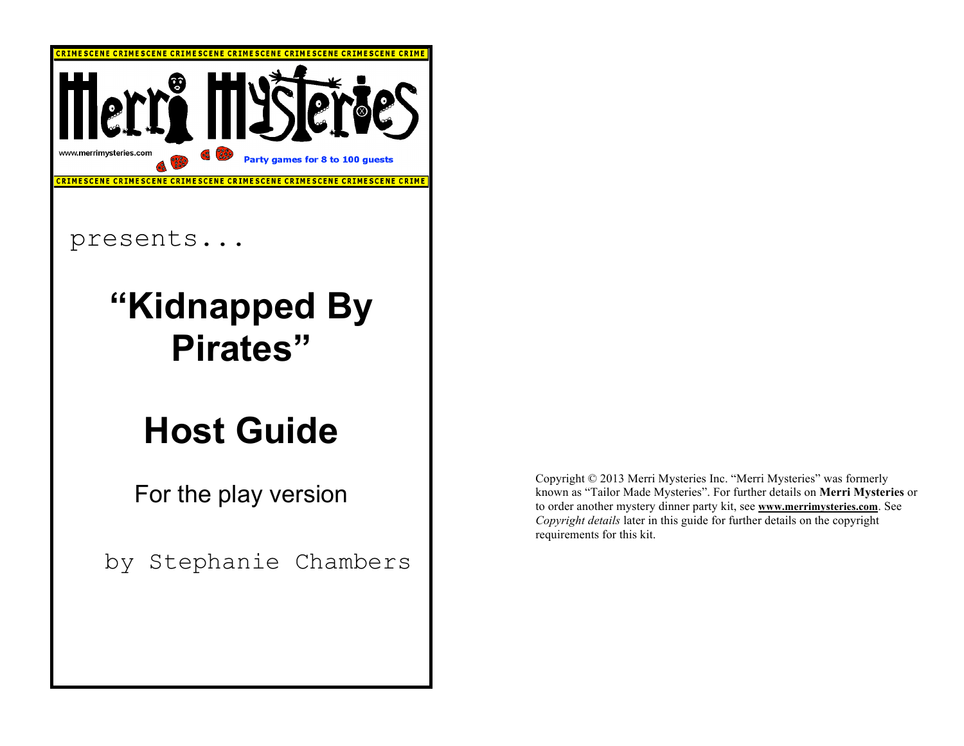

by Stephanie Chambers

Copyright © 2013 Merri Mysteries Inc. "Merri Mysteries" was formerly known as "Tailor Made Mysteries". For further details on **Merri Mysteries** or to order another mystery dinner party kit, see **www.merrimysteries.com**. See *Copyright details* later in this guide for further details on the copyright requirements for this kit.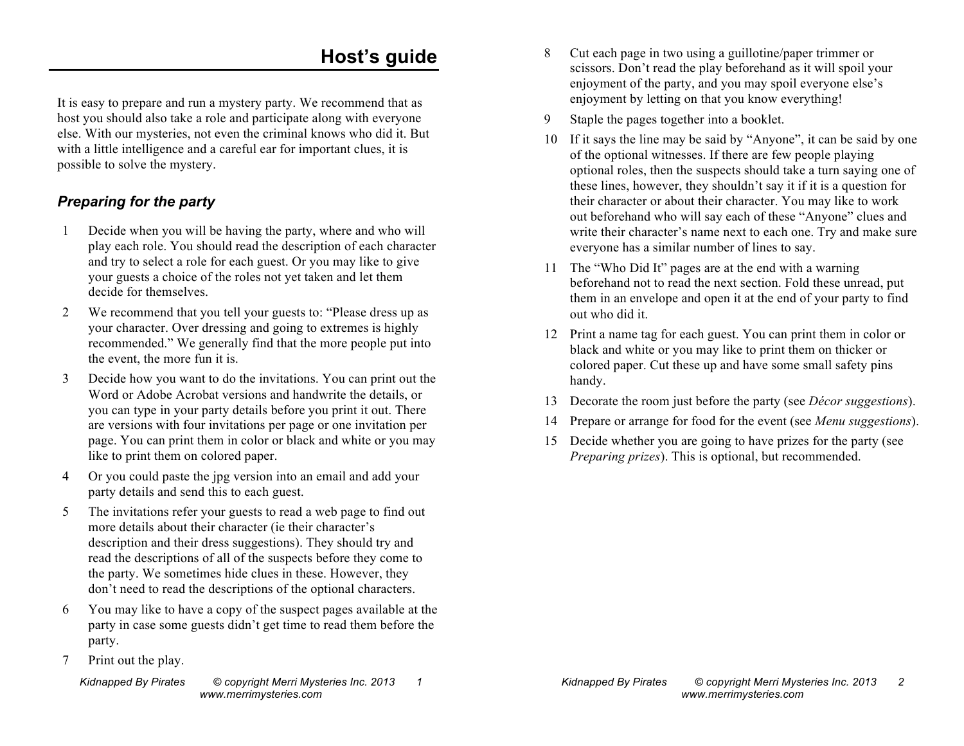# **Host's guide**

It is easy to prepare and run a mystery party. We recommend that as host you should also take a role and participate along with everyone else. With our mysteries, not even the criminal knows who did it. But with a little intelligence and a careful ear for important clues, it is possible to solve the mystery.

#### *Preparing for the party*

- 1 Decide when you will be having the party, where and who will play each role. You should read the description of each character and try to select a role for each guest. Or you may like to give your guests a choice of the roles not yet taken and let them decide for themselves.
- 2 We recommend that you tell your guests to: "Please dress up as your character. Over dressing and going to extremes is highly recommended." We generally find that the more people put into the event, the more fun it is.
- 3 Decide how you want to do the invitations. You can print out the Word or Adobe Acrobat versions and handwrite the details, or you can type in your party details before you print it out. There are versions with four invitations per page or one invitation per page. You can print them in color or black and white or you may like to print them on colored paper.
- 4 Or you could paste the jpg version into an email and add your party details and send this to each guest.
- 5 The invitations refer your guests to read a web page to find out more details about their character (ie their character's description and their dress suggestions). They should try and read the descriptions of all of the suspects before they come to the party. We sometimes hide clues in these. However, they don't need to read the descriptions of the optional characters.
- 6 You may like to have a copy of the suspect pages available at the party in case some guests didn't get time to read them before the party.
- 7 Print out the play.
- 8 Cut each page in two using a guillotine/paper trimmer or scissors. Don't read the play beforehand as it will spoil your enjoyment of the party, and you may spoil everyone else's enjoyment by letting on that you know everything!
- 9 Staple the pages together into a booklet.
- 10 If it says the line may be said by "Anyone", it can be said by one of the optional witnesses. If there are few people playing optional roles, then the suspects should take a turn saying one of these lines, however, they shouldn't say it if it is a question for their character or about their character. You may like to work out beforehand who will say each of these "Anyone" clues and write their character's name next to each one. Try and make sure everyone has a similar number of lines to say.
- 11 The "Who Did It" pages are at the end with a warning beforehand not to read the next section. Fold these unread, put them in an envelope and open it at the end of your party to find out who did it.
- 12 Print a name tag for each guest. You can print them in color or black and white or you may like to print them on thicker or colored paper. Cut these up and have some small safety pins handy.
- 13 Decorate the room just before the party (see *Décor suggestions*).
- 14 Prepare or arrange for food for the event (see *Menu suggestions*).
- 15 Decide whether you are going to have prizes for the party (see *Preparing prizes*). This is optional, but recommended.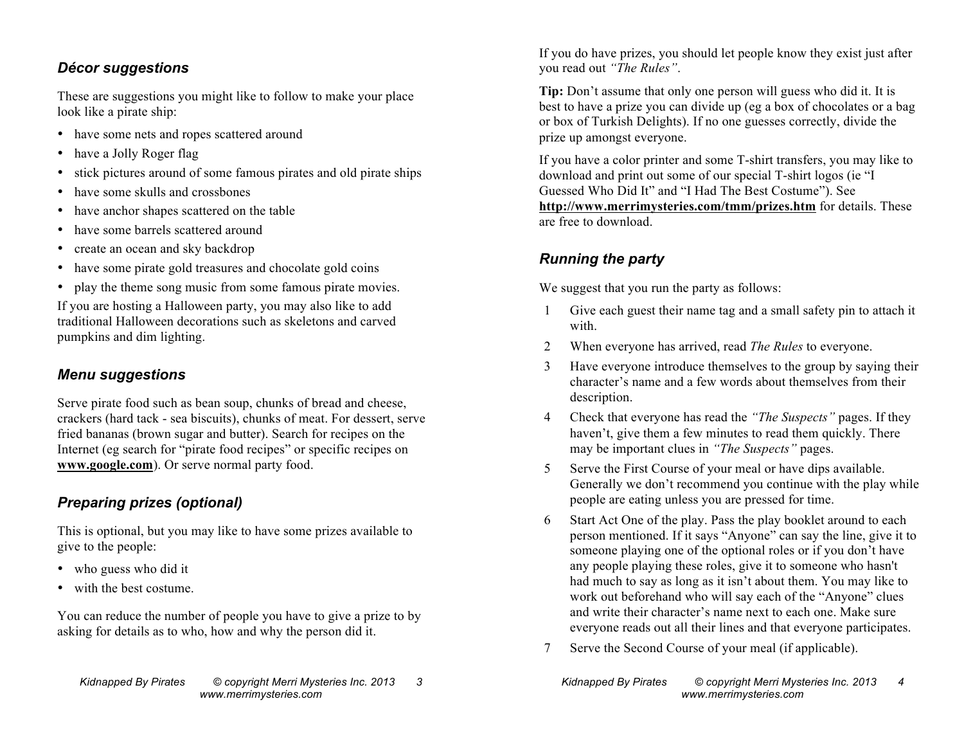#### *Décor suggestions*

These are suggestions you might like to follow to make your place look like a pirate ship:

- have some nets and ropes scattered around
- have a Jolly Roger flag
- stick pictures around of some famous pirates and old pirate ships
- have some skulls and crossbones
- have anchor shapes scattered on the table
- have some barrels scattered around
- create an ocean and sky backdrop
- have some pirate gold treasures and chocolate gold coins
- play the theme song music from some famous pirate movies.

If you are hosting a Halloween party, you may also like to add traditional Halloween decorations such as skeletons and carved pumpkins and dim lighting.

#### *Menu suggestions*

Serve pirate food such as bean soup, chunks of bread and cheese, crackers (hard tack - sea biscuits), chunks of meat. For dessert, serve fried bananas (brown sugar and butter). Search for recipes on the Internet (eg search for "pirate food recipes" or specific recipes on **www.google.com**). Or serve normal party food.

#### *Preparing prizes (optional)*

This is optional, but you may like to have some prizes available to give to the people:

- who guess who did it
- with the best costume.

You can reduce the number of people you have to give a prize to by asking for details as to who, how and why the person did it.

If you do have prizes, you should let people know they exist just after you read out *"The Rules"*.

**Tip:** Don't assume that only one person will guess who did it. It is best to have a prize you can divide up (eg a box of chocolates or a bag or box of Turkish Delights). If no one guesses correctly, divide the prize up amongst everyone.

If you have a color printer and some T-shirt transfers, you may like to download and print out some of our special T-shirt logos (ie "I Guessed Who Did It" and "I Had The Best Costume"). See **http://www.merrimysteries.com/tmm/prizes.htm** for details. These are free to download.

## *Running the party*

We suggest that you run the party as follows:

- 1 Give each guest their name tag and a small safety pin to attach it with.
- 2 When everyone has arrived, read *The Rules* to everyone.
- 3 Have everyone introduce themselves to the group by saying their character's name and a few words about themselves from their description.
- 4 Check that everyone has read the *"The Suspects"* pages. If they haven't, give them a few minutes to read them quickly. There may be important clues in *"The Suspects"* pages.
- 5 Serve the First Course of your meal or have dips available. Generally we don't recommend you continue with the play while people are eating unless you are pressed for time.
- 6 Start Act One of the play. Pass the play booklet around to each person mentioned. If it says "Anyone" can say the line, give it to someone playing one of the optional roles or if you don't have any people playing these roles, give it to someone who hasn't had much to say as long as it isn't about them. You may like to work out beforehand who will say each of the "Anyone" clues and write their character's name next to each one. Make sure everyone reads out all their lines and that everyone participates.
- 7 Serve the Second Course of your meal (if applicable).